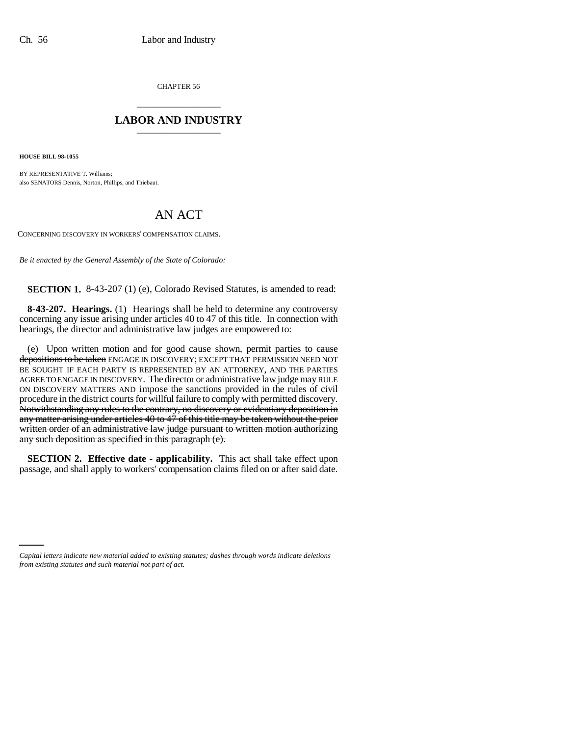CHAPTER 56 \_\_\_\_\_\_\_\_\_\_\_\_\_\_\_

## **LABOR AND INDUSTRY** \_\_\_\_\_\_\_\_\_\_\_\_\_\_\_

**HOUSE BILL 98-1055**

BY REPRESENTATIVE T. Williams; also SENATORS Dennis, Norton, Phillips, and Thiebaut.

## AN ACT

CONCERNING DISCOVERY IN WORKERS' COMPENSATION CLAIMS.

*Be it enacted by the General Assembly of the State of Colorado:*

**SECTION 1.** 8-43-207 (1) (e), Colorado Revised Statutes, is amended to read:

**8-43-207. Hearings.** (1) Hearings shall be held to determine any controversy concerning any issue arising under articles 40 to 47 of this title. In connection with hearings, the director and administrative law judges are empowered to:

(e) Upon written motion and for good cause shown, permit parties to cause depositions to be taken ENGAGE IN DISCOVERY; EXCEPT THAT PERMISSION NEED NOT BE SOUGHT IF EACH PARTY IS REPRESENTED BY AN ATTORNEY, AND THE PARTIES AGREE TO ENGAGE IN DISCOVERY. The director or administrative law judge may RULE ON DISCOVERY MATTERS AND impose the sanctions provided in the rules of civil procedure in the district courts for willful failure to comply with permitted discovery. Notwithstanding any rules to the contrary, no discovery or evidentiary deposition in any matter arising under articles 40 to 47 of this title may be taken without the prior written order of an administrative law judge pursuant to written motion authorizing any such deposition as specified in this paragraph (e).

**SECTION 2. Effective date - applicability.** This act shall take effect upon passage, and shall apply to workers' compensation claims filed on or after said date.

*Capital letters indicate new material added to existing statutes; dashes through words indicate deletions from existing statutes and such material not part of act.*